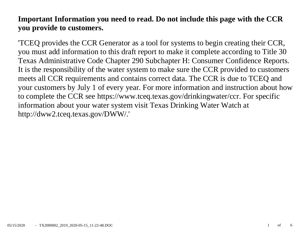# **Important Information you need to read. Do not include this page with the CCR you provide to customers.**

'TCEQ provides the CCR Generator as a tool for systems to begin creating their CCR, you must add information to this draft report to make it complete according to Title 30 Texas Administrative Code Chapter 290 Subchapter H: Consumer Confidence Reports. It is the responsibility of the water system to make sure the CCR provided to customers meets all CCR requirements and contains correct data. The CCR is due to TCEQ and your customers by July 1 of every year. For more information and instruction about how to complete the CCR see https://www.tceq.texas.gov/drinkingwater/ccr. For specific information about your water system visit Texas Drinking Water Watch at http://dww2.tceq.texas.gov/DWW/.'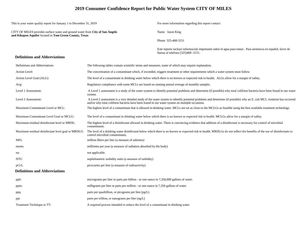# **2019 Consumer Confidence Report for Public Water System CITY OF MILES**

This is your water quality report for January 1 to December 31, 2019 For more information regarding this report contact:

CITY OF MILES provides surface water and ground water from **City of San Angelo and Kikapoo Aquifer** located in **Tom Green County, Texas**

Name Jason King

Phone 325-468-3151

Este reporte incluye información importante sobre el agua para tomar. Para asistencia en español, favor de llamar al telefono (325)468 -3151.

#### **Definitions and Abbreviations**

| Definitions and Abbreviations                      | The following tables contain scientific terms and measures, some of which may require explanation.                                                                                                                                                                      |
|----------------------------------------------------|-------------------------------------------------------------------------------------------------------------------------------------------------------------------------------------------------------------------------------------------------------------------------|
| Action Level:                                      | The concentration of a contaminant which, if exceeded, triggers treatment or other requirements which a water system must follow.                                                                                                                                       |
| Action Level Goal (ALG):                           | The level of a contaminant in drinking water below which there is no known or expected risk to health. ALGs allow for a margin of safety.                                                                                                                               |
| Avg:                                               | Regulatory compliance with some MCLs are based on running annual average of monthly samples.                                                                                                                                                                            |
| Level 1 Assessment:                                | A Level 1 assessment is a study of the water system to identify potential problems and determine (if possible) why total coliform bacteria have been found in our water<br>system.                                                                                      |
| Level 2 Assessment:                                | A Level 2 assessment is a very detailed study of the water system to identify potential problems and determine (if possible) why an E. coli MCL violation has occurred<br>and/or why total coliform bacteria have been found in our water system on multiple occasions. |
| Maximum Contaminant Level or MCL:                  | The highest level of a contaminant that is allowed in drinking water. MCLs are set as close to the MCLGs as feasible using the best available treatment technology.                                                                                                     |
| Maximum Contaminant Level Goal or MCLG:            | The level of a contaminant in drinking water below which there is no known or expected risk to health. MCLGs allow for a margin of safety.                                                                                                                              |
| Maximum residual disinfectant level or MRDL:       | The highest level of a disinfectant allowed in drinking water. There is convincing evidence that addition of a disinfectant is necessary for control of microbial<br>contaminants.                                                                                      |
| Maximum residual disinfectant level goal or MRDLG: | The level of a drinking water disinfectant below which there is no known or expected risk to health. MRDLGs do not reflect the benefits of the use of disinfectants to<br>control microbial contaminants.                                                               |
| <b>MFL</b>                                         | million fibers per liter (a measure of asbestos)                                                                                                                                                                                                                        |
| mrem:                                              | millirems per year (a measure of radiation absorbed by the body)                                                                                                                                                                                                        |
| na:                                                | not applicable.                                                                                                                                                                                                                                                         |
| <b>NTU</b>                                         | nephelometric turbidity units (a measure of turbidity)                                                                                                                                                                                                                  |
| pCi/L                                              | picocuries per liter (a measure of radioactivity)                                                                                                                                                                                                                       |
| <b>Definitions and Abbreviations</b>               |                                                                                                                                                                                                                                                                         |
| ppb:                                               | micrograms per liter or parts per billion - or one ounce in 7,350,000 gallons of water.                                                                                                                                                                                 |
| ppm:                                               | milligrams per liter or parts per million - or one ounce in 7,350 gallons of water.                                                                                                                                                                                     |
| ppq                                                | parts per quadrillion, or picograms per liter (pg/L)                                                                                                                                                                                                                    |
| ppt                                                | parts per trillion, or nanograms per liter (ng/L)                                                                                                                                                                                                                       |
| Treatment Technique or TT:                         | A required process intended to reduce the level of a contaminant in drinking water.                                                                                                                                                                                     |
|                                                    |                                                                                                                                                                                                                                                                         |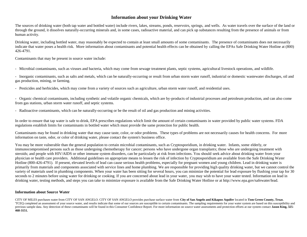## **Information about your Drinking Water**

The sources of drinking water (both tap water and bottled water) include rivers, lakes, streams, ponds, reservoirs, springs, and wells. As water travels over the surface of the land or through the ground, it dissolves naturally-occurring minerals and, in some cases, radioactive material, and can pick up substances resulting from the presence of animals or from human activity.

Drinking water, including bottled water, may reasonably be expected to contain at least small amounts of some contaminants. The presence of contaminants does not necessarily indicate that water poses a health risk. More information about contaminants and potential health effects can be obtained by calling the EPAs Safe Drinking Water Hotline at (800) 426-4791.

Contaminants that may be present in source water include:

- Microbial contaminants, such as viruses and bacteria, which may come from sewage treatment plants, septic systems, agricultural livestock operations, and wildlife.

- Inorganic contaminants, such as salts and metals, which can be naturally-occurring or result from urban storm water runoff, industrial or domestic wastewater discharges, oil and gas production, mining, or farming.

- Pesticides and herbicides, which may come from a variety of sources such as agriculture, urban storm water runoff, and residential uses.

- Organic chemical contaminants, including synthetic and volatile organic chemicals, which are by-products of industrial processes and petroleum production, and can also come from gas stations, urban storm water runoff, and septic systems.

- Radioactive contaminants, which can be naturally-occurring or be the result of oil and gas production and mining activities.

In order to ensure that tap water is safe to drink, EPA prescribes regulations which limit the amount of certain contaminants in water provided by public water systems. FDA regulations establish limits for contaminants in bottled water which must provide the same protection for public health.

Contaminants may be found in drinking water that may cause taste, color, or odor problems. These types of problems are not necessarily causes for health concerns. For more information on taste, odor, or color of drinking water, please contact the system's business office.

You may be more vulnerable than the general population to certain microbial contaminants, such as Cryptosporidium, in drinking water. Infants, some elderly, or immunocompromised persons such as those undergoing chemotherapy for cancer; persons who have undergone organ transplants; those who are undergoing treatment with steroids; and people with HIV/AIDS or other immune system disorders, can be particularly at risk from infections. You should seek advice about drinking water from your physician or health care providers. Additional guidelines on appropriate means to lessen the risk of infection by Cryptosporidium are available from the Safe Drinking Water Hotline (800-426-4791). If present, elevated levels of lead can cause serious health problems, especially for pregnant women and young children. Lead in drinking water is primarily from materials and components associated with service lines and home plumbing. We are responsible for providing high quality drinking water, but we cannot control the variety of materials used in plumbing components. When your water has been sitting for several hours, you can minimize the potential for lead exposure by flushing your tap for 30 seconds to 2 minutes before using water for drinking or cooking. If you are concerned about lead in your water, you may wish to have your water tested. Information on lead in drinking water, testing methods, and steps you can take to minimize exposure is available from the Safe Drinking Water Hotline or at http://www.epa.gov/safewater/lead.

#### **Information about Source Water**

CITY OF MILES purchases water from CITY OF SAN ANGELO. CITY OF SAN ANGELO provides purchase surface water from **City of San Angelo and Kikapoo Aquifer** located in **Tom Green County, Texas**. 'TCEQ completed an assessment of your source water, and results indicate that some of our sources are susceptible to certain contaminants. The sampling requirements for your water system are based on this susceptibility and previous sample data. Any detection of these contaminants will be found in this Consumer Confidence Report. For more information on source water assessments and protection efforts at our system contact Jason King, 325-**468-3151.**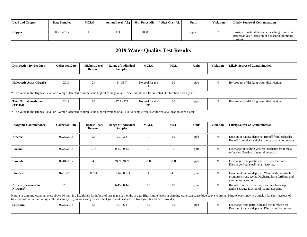| Lead and Copper | <b>Date Sampled</b> | <b>MCLG</b> | <b>Action Level (AL)</b> | 90th Percentile | # Sites Over AL | <b>Units</b> | Violation | <b>Likely Source of Contamination</b>                                                                         |
|-----------------|---------------------|-------------|--------------------------|-----------------|-----------------|--------------|-----------|---------------------------------------------------------------------------------------------------------------|
| Copper          | 08/18/2017          |             |                          | 0.088           |                 | ppm          |           | Erosion of natural deposits; Leaching from wood<br>preservatives; Corrosion of household plumbing<br>systems. |

# **2019 Water Quality Test Results**

| <b>Disinfection By-Products</b> | <b>Collection Date</b> | <b>Highest Level</b><br><b>Detected</b> | <b>Range of Individual</b><br><b>Samples</b> | <b>MCLG</b> | MCL | <b>Units</b> | Violation | <b>Likely Source of Contamination</b> |
|---------------------------------|------------------------|-----------------------------------------|----------------------------------------------|-------------|-----|--------------|-----------|---------------------------------------|
|                                 |                        |                                         |                                              |             |     |              |           |                                       |

| Haloacetic Acids (HAA5) | 2019 | $-35.7$ | $\mathbf{r}$<br>No goal for the | ppb | $\sim$ $\sim$<br>.<br>By-product of drinking water disinfection. |
|-------------------------|------|---------|---------------------------------|-----|------------------------------------------------------------------|
|                         |      |         | total                           |     |                                                                  |

<sup>1\*</sup> The value in the Highest Level or Average Detected column is the highest average of all HAA5 sample results collected at a location over a year'

| <b>Total Trihalomethanes</b> | 2019 | vu | 107<br>272<br>$\prime$ . I<br><u>.</u><br>$\overline{\phantom{0}}$ | .<br>rtor the<br>No goal | 80 | nnr | $\cdots$<br>.<br>By-product of drinking water disinfection. |
|------------------------------|------|----|--------------------------------------------------------------------|--------------------------|----|-----|-------------------------------------------------------------|
| (TTHM)                       |      |    |                                                                    | total                    |    |     |                                                             |

<sup>1</sup> The value in the Highest Level or Average Detected column is the highest average of all TTHM sample results collected at a location over a year'

| <b>Inorganic Contaminants</b>                                                                                                            | <b>Collection Date</b> | <b>Highest Level</b><br><b>Detected</b> | <b>Range of Individual</b><br><b>Samples</b> | <b>MCLG</b>   | <b>MCL</b>     | <b>Units</b> | <b>Violation</b> | <b>Likely Source of Contamination</b>                                                                                                                                                                                          |
|------------------------------------------------------------------------------------------------------------------------------------------|------------------------|-----------------------------------------|----------------------------------------------|---------------|----------------|--------------|------------------|--------------------------------------------------------------------------------------------------------------------------------------------------------------------------------------------------------------------------------|
| Arsenic                                                                                                                                  | 02/22/2018             | 2.3                                     | $2.3 - 2.3$                                  |               | 10             | ppb          | N                | Erosion of natural deposits; Runoff from orchards;<br>Runoff from glass and electronics production wastes.                                                                                                                     |
| <b>Barium</b>                                                                                                                            | 02/22/2018             | 0.13                                    | $0.13 - 0.13$                                | $\mathcal{D}$ | $\mathfrak{D}$ | ppm          | N                | Discharge of drilling wastes; Discharge from metal<br>refineries; Erosion of natural deposits.                                                                                                                                 |
| Cyanide                                                                                                                                  | 03/01/2017             | 94.9                                    | $94.9 - 94.9$                                | 200           | 200            | ppb          | N                | Discharge from plastic and fertilizer factories;<br>Discharge from steel/metal factories.                                                                                                                                      |
| <b>Fluoride</b>                                                                                                                          | 07/18/2018             | 0.714                                   | $0.714 - 0.714$                              |               | 4.0            | ppm          | N                | Erosion of natural deposits; Water additive which<br>promotes strong teeth; Discharge from fertilizer and<br>aluminum factories.                                                                                               |
| Nitrate [measured as<br>Nitrogen]                                                                                                        | 2019                   | 8                                       | $6.45 - 8.44$                                | 10            | 10             | ppm          | N                | Runoff from fertilizer use; Leaching from septic<br>tanks, sewage; Erosion of natural deposits.                                                                                                                                |
| time because of rainfall or agricultural activity. If you are caring for an infant you should ask advice from your health care provider. |                        |                                         |                                              |               |                |              |                  | Nitrate in drinking water at levels above 10 ppm is a health risk for infants of less than six months of age. High nitrate levels in drinking water can cause blue baby syndrome. Nitrate levels may rise quickly for short pe |
| <b>Selenium</b>                                                                                                                          | 02/22/2018             | 6.1                                     | $6.1 - 6.1$                                  | 50            | 50             | ppb          | N                | Discharge from petroleum and metal refineries;<br>Erosion of natural deposits; Discharge from mines.                                                                                                                           |